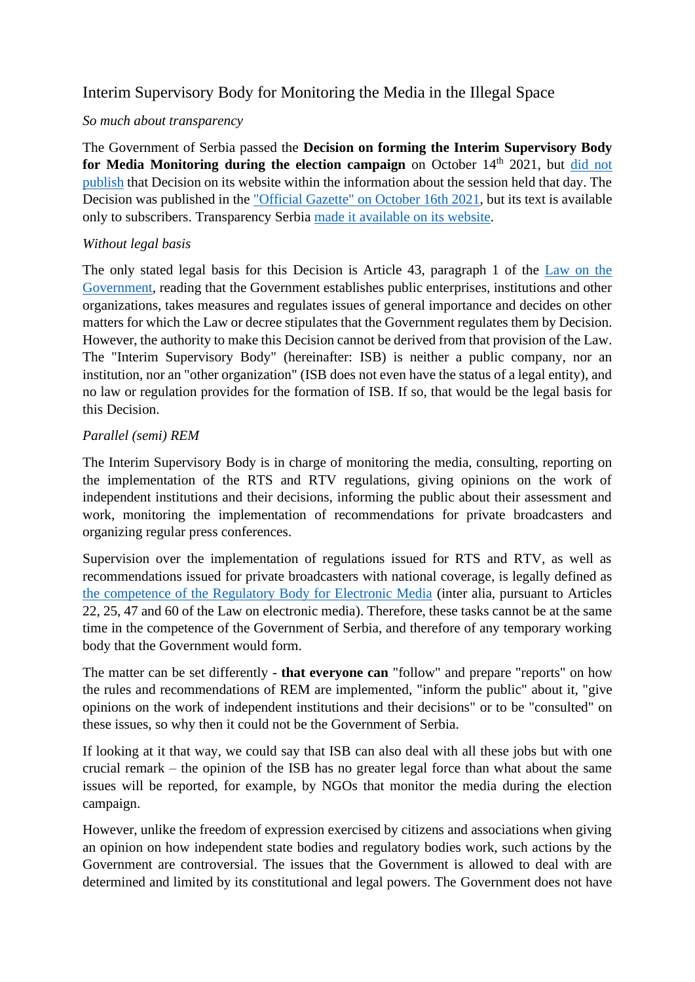# Interim Supervisory Body for Monitoring the Media in the Illegal Space

## *So much about transparency*

The Government of Serbia passed the **Decision on forming the Interim Supervisory Body for Media Monitoring during the election campaign** on October 14<sup>th</sup> 2021, but did not [publish](https://www.srbija.gov.rs/prikaz/582808) that Decision on its website within the information about the session held that day. The Decision was published in the ["Official Gazette" on October 16th 2021,](https://www.pravno-informacioni-sistem.rs/slglrsNP-overview/all) but its text is available only to subscribers. Transparency Serbia [made it available on its website.](https://www.transparentnost.org.rs/images/stories/inicijativeianalize/odlukaopracenjumedija.pdf)

## *Without legal basis*

The only stated legal basis for this Decision is Article 43, paragraph 1 of the [Law on the](https://www.paragraf.rs/propisi/zakon_o_vladi.html)  [Government,](https://www.paragraf.rs/propisi/zakon_o_vladi.html) reading that the Government establishes public enterprises, institutions and other organizations, takes measures and regulates issues of general importance and decides on other matters for which the Law or decree stipulates that the Government regulates them by Decision. However, the authority to make this Decision cannot be derived from that provision of the Law. The "Interim Supervisory Body" (hereinafter: ISB) is neither a public company, nor an institution, nor an "other organization" (ISB does not even have the status of a legal entity), and no law or regulation provides for the formation of ISB. If so, that would be the legal basis for this Decision.

## *Parallel (semi) REM*

The Interim Supervisory Body is in charge of monitoring the media, consulting, reporting on the implementation of the RTS and RTV regulations, giving opinions on the work of independent institutions and their decisions, informing the public about their assessment and work, monitoring the implementation of recommendations for private broadcasters and organizing regular press conferences.

Supervision over the implementation of regulations issued for RTS and RTV, as well as recommendations issued for private broadcasters with national coverage, is legally defined as [the competence of the Regulatory Body for Electronic Media](http://www.rem.rs/sr/regulativa/zakonska-regulativa/zakon-o-elektronskim-medijima#gsc.tab=0) (inter alia, pursuant to Articles 22, 25, 47 and 60 of the Law on electronic media). Therefore, these tasks cannot be at the same time in the competence of the Government of Serbia, and therefore of any temporary working body that the Government would form.

The matter can be set differently - **that everyone can** "follow" and prepare "reports" on how the rules and recommendations of REM are implemented, "inform the public" about it, "give opinions on the work of independent institutions and their decisions" or to be "consulted" on these issues, so why then it could not be the Government of Serbia.

If looking at it that way, we could say that ISB can also deal with all these jobs but with one crucial remark – the opinion of the ISB has no greater legal force than what about the same issues will be reported, for example, by NGOs that monitor the media during the election campaign.

However, unlike the freedom of expression exercised by citizens and associations when giving an opinion on how independent state bodies and regulatory bodies work, such actions by the Government are controversial. The issues that the Government is allowed to deal with are determined and limited by its constitutional and legal powers. The Government does not have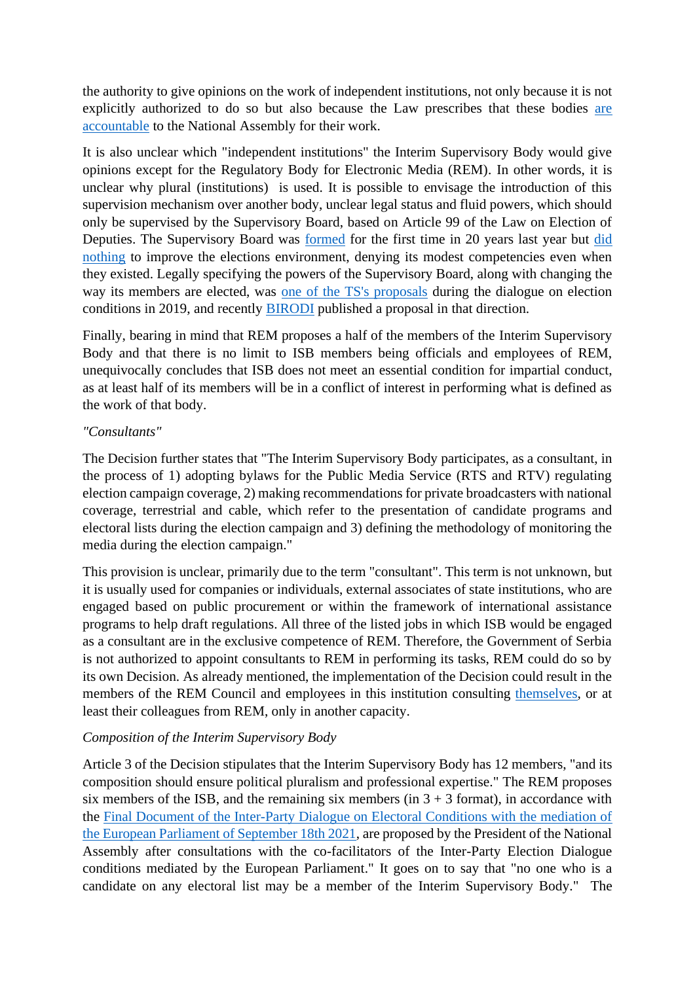the authority to give opinions on the work of independent institutions, not only because it is not explicitly authorized to do so but also because the Law prescribes that these bodies [are](http://www.parlament.gov.rs/upload/archive/files/cir/pdf/izvestaji/2021/560-21.pdf)  [accountable](http://www.parlament.gov.rs/upload/archive/files/cir/pdf/izvestaji/2021/560-21.pdf) to the National Assembly for their work.

It is also unclear which "independent institutions" the Interim Supervisory Body would give opinions except for the Regulatory Body for Electronic Media (REM). In other words, it is unclear why plural (institutions) is used. It is possible to envisage the introduction of this supervision mechanism over another body, unclear legal status and fluid powers, which should only be supervised by the Supervisory Board, based on Article 99 of the Law on Election of Deputies. The Supervisory Board was [formed](http://www.parlament.gov.rs/%D0%A1%D0%90%D0%9E%D0%9F%D0%A8%D0%A2%D0%95%D0%8A%D0%95.39033.43.html) for the first time in 20 years last year but [did](https://www.transparentnost.org.rs/images/dokumenti_uz_vesti/TS_ukazivanje_na_nepravilnost_u_radu_Nadzornog_odbora_povodom_razmatranja_tri_inicijative_TS.pdf)  [nothing](https://www.transparentnost.org.rs/images/dokumenti_uz_vesti/TS_ukazivanje_na_nepravilnost_u_radu_Nadzornog_odbora_povodom_razmatranja_tri_inicijative_TS.pdf) to improve the elections environment, denying its modest competencies even when they existed. Legally specifying the powers of the Supervisory Board, along with changing the way its members are elected, was [one of the TS's proposals](https://www.transparentnost.org.rs/images/dokumenti_uz_vesti/Transparentnost_Srbija_mediji_i_nadzor_-_prilog_za_dijalog_o_izborima.pdf) during the dialogue on election conditions in 2019, and recently [BIRODI](https://www.birodi.rs/higijenske-mera-za-unapredjenje-izbornog-integriteta-u-srbiji/) published a proposal in that direction.

Finally, bearing in mind that REM proposes a half of the members of the Interim Supervisory Body and that there is no limit to ISB members being officials and employees of REM, unequivocally concludes that ISB does not meet an essential condition for impartial conduct, as at least half of its members will be in a conflict of interest in performing what is defined as the work of that body.

## *"Consultants"*

The Decision further states that "The Interim Supervisory Body participates, as a consultant, in the process of 1) adopting bylaws for the Public Media Service (RTS and RTV) regulating election campaign coverage, 2) making recommendations for private broadcasters with national coverage, terrestrial and cable, which refer to the presentation of candidate programs and electoral lists during the election campaign and 3) defining the methodology of monitoring the media during the election campaign."

This provision is unclear, primarily due to the term "consultant". This term is not unknown, but it is usually used for companies or individuals, external associates of state institutions, who are engaged based on public procurement or within the framework of international assistance programs to help draft regulations. All three of the listed jobs in which ISB would be engaged as a consultant are in the exclusive competence of REM. Therefore, the Government of Serbia is not authorized to appoint consultants to REM in performing its tasks, REM could do so by its own Decision. As already mentioned, the implementation of the Decision could result in the members of the REM Council and employees in this institution consulting [themselves,](http://www.rem.rs/sr/arhiva/vesti/2021/10/odluka-o-predlaganju-6-clanova-privremenog-nadzornog-tela-za-pracenje-medija-tokom-izborne-kampanje) or at least their colleagues from REM, only in another capacity.

## *Composition of the Interim Supervisory Body*

Article 3 of the Decision stipulates that the Interim Supervisory Body has 12 members, "and its composition should ensure political pluralism and professional expertise." The REM proposes six members of the ISB, and the remaining six members (in  $3 + 3$  format), in accordance with the [Final Document of the Inter-Party Dialogue on Electoral Conditions with the mediation of](http://www.parlament.gov.rs/Me%C4%91ustrana%C4%8Dki_dijalog:_Unapre%C4%91enje_uslova_politi%C4%8Dkog_nadmetanja_u_Srbiji_.42693.941.html)  [the European Parliament of September 18th 2021,](http://www.parlament.gov.rs/Me%C4%91ustrana%C4%8Dki_dijalog:_Unapre%C4%91enje_uslova_politi%C4%8Dkog_nadmetanja_u_Srbiji_.42693.941.html) are proposed by the President of the National Assembly after consultations with the co-facilitators of the Inter-Party Election Dialogue conditions mediated by the European Parliament." It goes on to say that "no one who is a candidate on any electoral list may be a member of the Interim Supervisory Body." The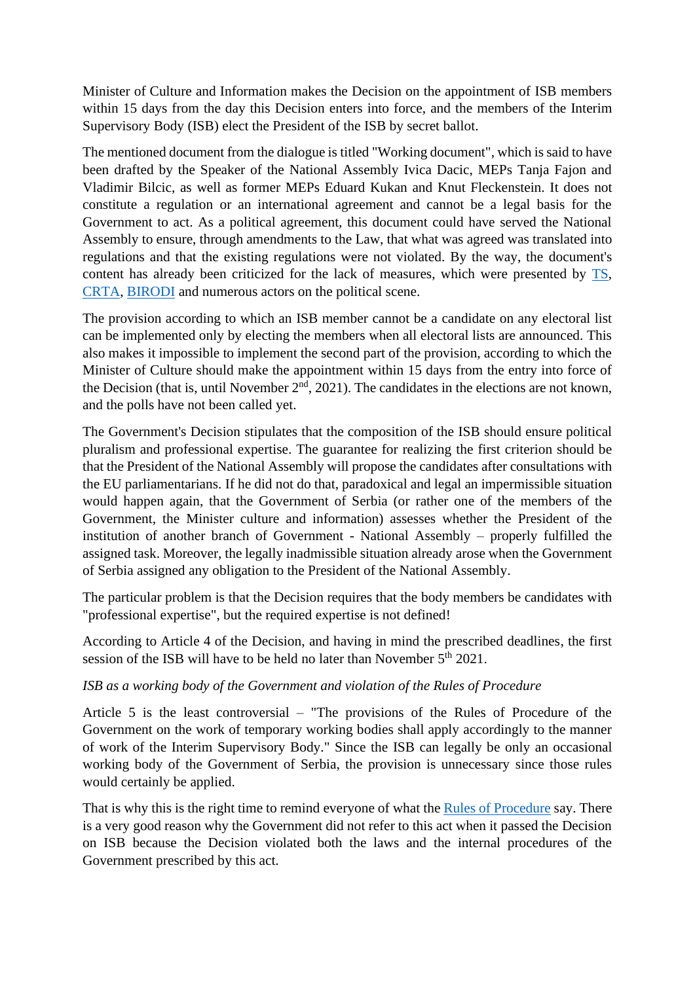Minister of Culture and Information makes the Decision on the appointment of ISB members within 15 days from the day this Decision enters into force, and the members of the Interim Supervisory Body (ISB) elect the President of the ISB by secret ballot.

The mentioned document from the dialogue is titled "Working document", which is said to have been drafted by the Speaker of the National Assembly Ivica Dacic, MEPs Tanja Fajon and Vladimir Bilcic, as well as former MEPs Eduard Kukan and Knut Fleckenstein. It does not constitute a regulation or an international agreement and cannot be a legal basis for the Government to act. As a political agreement, this document could have served the National Assembly to ensure, through amendments to the Law, that what was agreed was translated into regulations and that the existing regulations were not violated. By the way, the document's content has already been criticized for the lack of measures, which were presented by [TS,](https://www.transparentnost.org.rs/index.php/sr/aktivnosti-2/saoptenja/12078-korisni-ali-nedovoljni-predlozi-sa-dijaloga-o-izbornim-uslovima) [CRTA,](https://crta.rs/wp-content/uploads/2021/09/CRTA-Analiza-mera-koje-su-predlozene-od-strane-kofasilitatora-tokom-procesa-Medjustranackog-dijaloga-uz-posredovanje-Evropskog-parlamenta-2.pdf) [BIRODI](https://www.birodi.rs/analiza-nacrta-zakljucka-druge-faze-medjustranackog-dijaloga/) and numerous actors on the political scene.

The provision according to which an ISB member cannot be a candidate on any electoral list can be implemented only by electing the members when all electoral lists are announced. This also makes it impossible to implement the second part of the provision, according to which the Minister of Culture should make the appointment within 15 days from the entry into force of the Decision (that is, until November  $2<sup>nd</sup>$ , 2021). The candidates in the elections are not known, and the polls have not been called yet.

The Government's Decision stipulates that the composition of the ISB should ensure political pluralism and professional expertise. The guarantee for realizing the first criterion should be that the President of the National Assembly will propose the candidates after consultations with the EU parliamentarians. If he did not do that, paradoxical and legal an impermissible situation would happen again, that the Government of Serbia (or rather one of the members of the Government, the Minister culture and information) assesses whether the President of the institution of another branch of Government - National Assembly – properly fulfilled the assigned task. Moreover, the legally inadmissible situation already arose when the Government of Serbia assigned any obligation to the President of the National Assembly.

The particular problem is that the Decision requires that the body members be candidates with "professional expertise", but the required expertise is not defined!

According to Article 4 of the Decision, and having in mind the prescribed deadlines, the first session of the ISB will have to be held no later than November  $5<sup>th</sup> 2021$ .

## *ISB as a working body of the Government and violation of the Rules of Procedure*

Article 5 is the least controversial – "The provisions of the Rules of Procedure of the Government on the work of temporary working bodies shall apply accordingly to the manner of work of the Interim Supervisory Body." Since the ISB can legally be only an occasional working body of the Government of Serbia, the provision is unnecessary since those rules would certainly be applied.

That is why this is the right time to remind everyone of what the [Rules of Procedure](https://www.srbija.gov.rs/dokument/2432/poslovnik-vlade.php) say. There is a very good reason why the Government did not refer to this act when it passed the Decision on ISB because the Decision violated both the laws and the internal procedures of the Government prescribed by this act.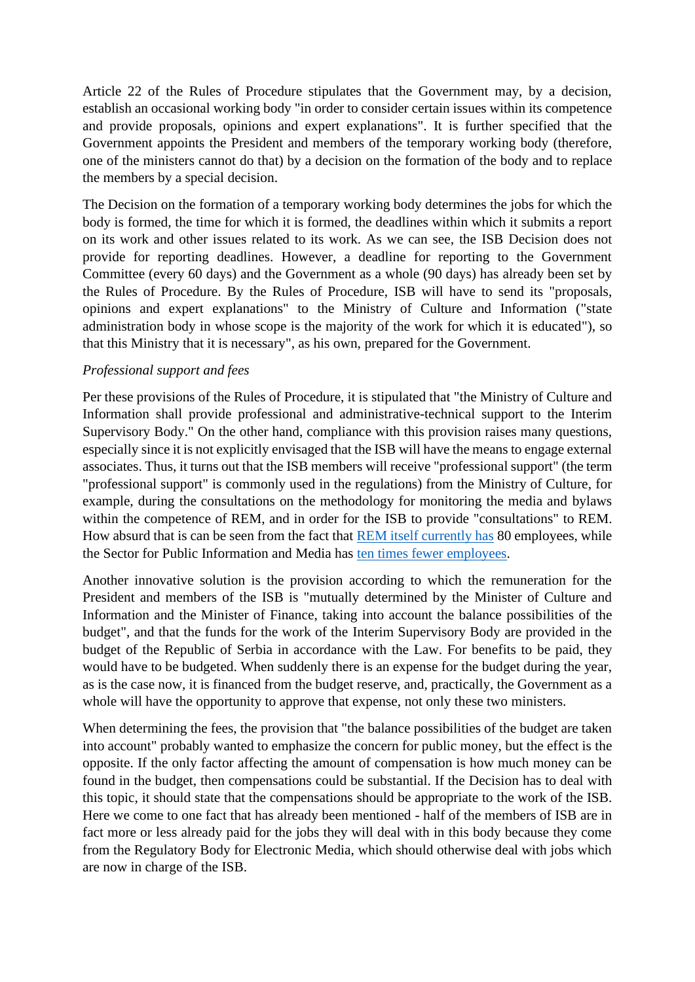Article 22 of the Rules of Procedure stipulates that the Government may, by a decision, establish an occasional working body "in order to consider certain issues within its competence and provide proposals, opinions and expert explanations". It is further specified that the Government appoints the President and members of the temporary working body (therefore, one of the ministers cannot do that) by a decision on the formation of the body and to replace the members by a special decision.

The Decision on the formation of a temporary working body determines the jobs for which the body is formed, the time for which it is formed, the deadlines within which it submits a report on its work and other issues related to its work. As we can see, the ISB Decision does not provide for reporting deadlines. However, a deadline for reporting to the Government Committee (every 60 days) and the Government as a whole (90 days) has already been set by the Rules of Procedure. By the Rules of Procedure, ISB will have to send its "proposals, opinions and expert explanations" to the Ministry of Culture and Information ("state administration body in whose scope is the majority of the work for which it is educated"), so that this Ministry that it is necessary", as his own, prepared for the Government.

## *Professional support and fees*

Per these provisions of the Rules of Procedure, it is stipulated that "the Ministry of Culture and Information shall provide professional and administrative-technical support to the Interim Supervisory Body." On the other hand, compliance with this provision raises many questions, especially since it is not explicitly envisaged that the ISB will have the means to engage external associates. Thus, it turns out that the ISB members will receive "professional support" (the term "professional support" is commonly used in the regulations) from the Ministry of Culture, for example, during the consultations on the methodology for monitoring the media and bylaws within the competence of REM, and in order for the ISB to provide "consultations" to REM. How absurd that is can be seen from the fact that [REM itself currently has](http://www.rem.rs/uploads/files/Informator%20o%20radu/Informator%20o%20radu%20jun%202021.pdf) 80 employees, while the Sector for Public Information and Media has [ten times fewer employees.](https://www.kultura.gov.rs/extfile/sr/7612/Informator-o-radu---septembar-2021--latinica.doc)

Another innovative solution is the provision according to which the remuneration for the President and members of the ISB is "mutually determined by the Minister of Culture and Information and the Minister of Finance, taking into account the balance possibilities of the budget", and that the funds for the work of the Interim Supervisory Body are provided in the budget of the Republic of Serbia in accordance with the Law. For benefits to be paid, they would have to be budgeted. When suddenly there is an expense for the budget during the year, as is the case now, it is financed from the budget reserve, and, practically, the Government as a whole will have the opportunity to approve that expense, not only these two ministers.

When determining the fees, the provision that "the balance possibilities of the budget are taken into account" probably wanted to emphasize the concern for public money, but the effect is the opposite. If the only factor affecting the amount of compensation is how much money can be found in the budget, then compensations could be substantial. If the Decision has to deal with this topic, it should state that the compensations should be appropriate to the work of the ISB. Here we come to one fact that has already been mentioned - half of the members of ISB are in fact more or less already paid for the jobs they will deal with in this body because they come from the Regulatory Body for Electronic Media, which should otherwise deal with jobs which are now in charge of the ISB.